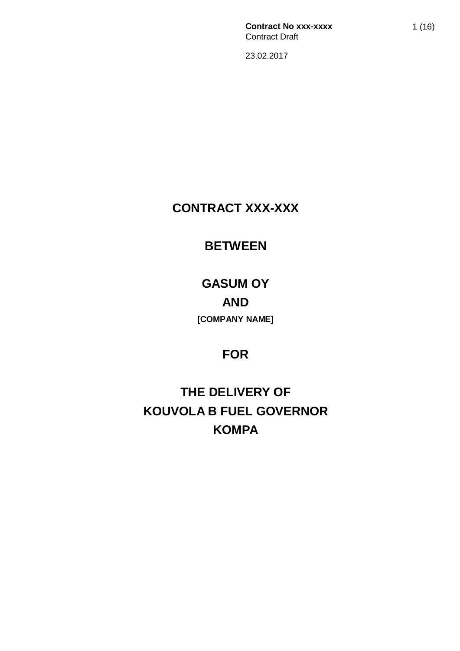# **CONTRACT XXX-XXX**

# **BETWEEN**

# **GASUM OY AND [COMPANY NAME]**

# **FOR**

# **THE DELIVERY OF KOUVOLA B FUEL GOVERNOR KOMPA**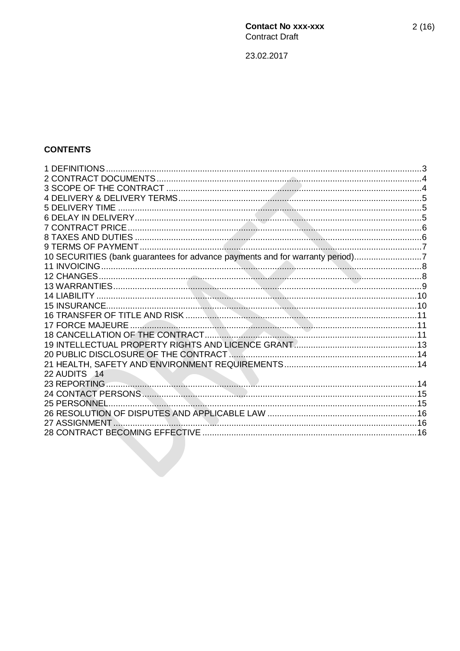# **CONTENTS**

| 10 SECURITIES (bank guarantees for advance payments and for warranty period)7 |  |
|-------------------------------------------------------------------------------|--|
|                                                                               |  |
|                                                                               |  |
|                                                                               |  |
|                                                                               |  |
|                                                                               |  |
|                                                                               |  |
|                                                                               |  |
|                                                                               |  |
|                                                                               |  |
|                                                                               |  |
|                                                                               |  |
| 22 AUDITS 14                                                                  |  |
|                                                                               |  |
|                                                                               |  |
| 25 PERSONNEL.                                                                 |  |
|                                                                               |  |
|                                                                               |  |
|                                                                               |  |
|                                                                               |  |
|                                                                               |  |
|                                                                               |  |
|                                                                               |  |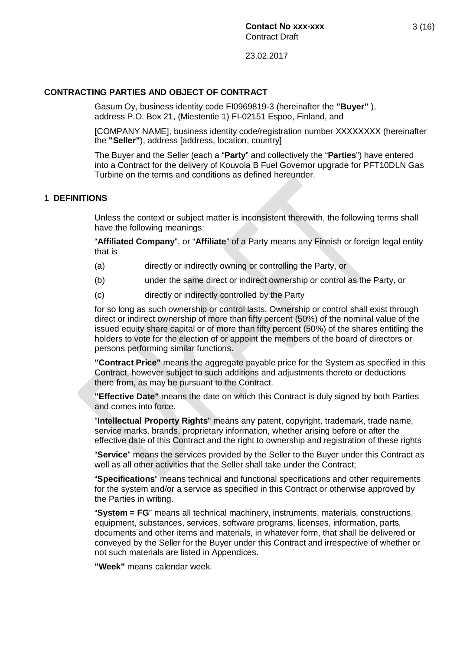#### **CONTRACTING PARTIES AND OBJECT OF CONTRACT**

Gasum Oy, business identity code FI0969819-3 (hereinafter the **"Buyer"** ), address P.O. Box 21, (Miestentie 1) FI-02151 Espoo, Finland, and

[COMPANY NAME], business identity code/registration number XXXXXXXX (hereinafter the **"Seller"**), address [address, location, country]

The Buyer and the Seller (each a "**Party**" and collectively the "**Parties**") have entered into a Contract for the delivery of Kouvola B Fuel Governor upgrade for PFT10DLN Gas Turbine on the terms and conditions as defined hereunder.

#### **1 DEFINITIONS**

Unless the context or subject matter is inconsistent therewith, the following terms shall have the following meanings:

"**Affiliated Company**", or "**Affiliate**" of a Party means any Finnish or foreign legal entity that is

- (a) directly or indirectly owning or controlling the Party, or
- (b) under the same direct or indirect ownership or control as the Party, or
- (c) directly or indirectly controlled by the Party

for so long as such ownership or control lasts. Ownership or control shall exist through direct or indirect ownership of more than fifty percent (50%) of the nominal value of the issued equity share capital or of more than fifty percent (50%) of the shares entitling the holders to vote for the election of or appoint the members of the board of directors or persons performing similar functions.

**"Contract Price"** means the aggregate payable price for the System as specified in this Contract, however subject to such additions and adjustments thereto or deductions there from, as may be pursuant to the Contract.

**"Effective Date"** means the date on which this Contract is duly signed by both Parties and comes into force.

"**Intellectual Property Rights**" means any patent, copyright, trademark, trade name, service marks, brands, proprietary information, whether arising before or after the effective date of this Contract and the right to ownership and registration of these rights

"**Service**" means the services provided by the Seller to the Buyer under this Contract as well as all other activities that the Seller shall take under the Contract;

"**Specifications**" means technical and functional specifications and other requirements for the system and/or a service as specified in this Contract or otherwise approved by the Parties in writing.

"**System = FG**" means all technical machinery, instruments, materials, constructions, equipment, substances, services, software programs, licenses, information, parts, documents and other items and materials, in whatever form, that shall be delivered or conveyed by the Seller for the Buyer under this Contract and irrespective of whether or not such materials are listed in Appendices.

**"Week"** means calendar week.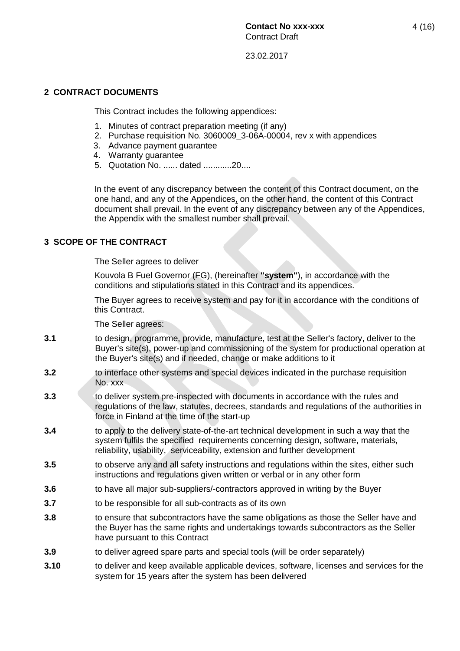### **2 CONTRACT DOCUMENTS**

This Contract includes the following appendices:

- 1. Minutes of contract preparation meeting (if any)
- 2. Purchase requisition No. 3060009 3-06A-00004, rev x with appendices
- 3. Advance payment guarantee
- 4. Warranty guarantee
- 5. Quotation No. ...... dated ............20....

In the event of any discrepancy between the content of this Contract document, on the one hand, and any of the Appendices, on the other hand, the content of this Contract document shall prevail. In the event of any discrepancy between any of the Appendices, the Appendix with the smallest number shall prevail.

### **3 SCOPE OF THE CONTRACT**

The Seller agrees to deliver

Kouvola B Fuel Governor (FG), (hereinafter **"system"**), in accordance with the conditions and stipulations stated in this Contract and its appendices.

The Buyer agrees to receive system and pay for it in accordance with the conditions of this Contract.

The Seller agrees:

- **3.1** to design, programme, provide, manufacture, test at the Seller's factory, deliver to the Buyer's site(s), power-up and commissioning of the system for productional operation at the Buyer's site(s) and if needed, change or make additions to it
- **3.2** to interface other systems and special devices indicated in the purchase requisition No. xxx
- **3.3** to deliver system pre-inspected with documents in accordance with the rules and regulations of the law, statutes, decrees, standards and regulations of the authorities in force in Finland at the time of the start-up
- **3.4** to apply to the delivery state-of-the-art technical development in such a way that the system fulfils the specified requirements concerning design, software, materials, reliability, usability, serviceability, extension and further development
- **3.5** to observe any and all safety instructions and regulations within the sites, either such instructions and regulations given written or verbal or in any other form
- **3.6** to have all major sub-suppliers/-contractors approved in writing by the Buyer
- **3.7** to be responsible for all sub-contracts as of its own
- **3.8** to ensure that subcontractors have the same obligations as those the Seller have and the Buyer has the same rights and undertakings towards subcontractors as the Seller have pursuant to this Contract
- **3.9** to deliver agreed spare parts and special tools (will be order separately)
- **3.10** to deliver and keep available applicable devices, software, licenses and services for the system for 15 years after the system has been delivered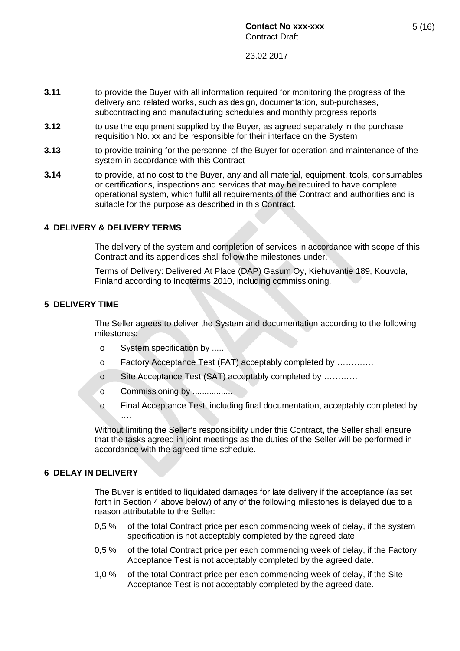- **3.11** to provide the Buyer with all information required for monitoring the progress of the delivery and related works, such as design, documentation, sub-purchases, subcontracting and manufacturing schedules and monthly progress reports
- **3.12** to use the equipment supplied by the Buyer, as agreed separately in the purchase requisition No. xx and be responsible for their interface on the System
- **3.13** to provide training for the personnel of the Buyer for operation and maintenance of the system in accordance with this Contract
- **3.14** to provide, at no cost to the Buyer, any and all material, equipment, tools, consumables or certifications, inspections and services that may be required to have complete, operational system, which fulfil all requirements of the Contract and authorities and is suitable for the purpose as described in this Contract.

#### **4 DELIVERY & DELIVERY TERMS**

The delivery of the system and completion of services in accordance with scope of this Contract and its appendices shall follow the milestones under.

Terms of Delivery: Delivered At Place (DAP) Gasum Oy, Kiehuvantie 189, Kouvola, Finland according to Incoterms 2010, including commissioning.

#### **5 DELIVERY TIME**

The Seller agrees to deliver the System and documentation according to the following milestones:

- o System specification by .....
- o Factory Acceptance Test (FAT) acceptably completed by ………….
- o Site Acceptance Test (SAT) acceptably completed by ………….
- o Commissioning by .................
- o Final Acceptance Test, including final documentation, acceptably completed by ….

Without limiting the Seller's responsibility under this Contract, the Seller shall ensure that the tasks agreed in joint meetings as the duties of the Seller will be performed in accordance with the agreed time schedule.

#### **6 DELAY IN DELIVERY**

The Buyer is entitled to liquidated damages for late delivery if the acceptance (as set forth in Section 4 above below) of any of the following milestones is delayed due to a reason attributable to the Seller:

- 0,5 % of the total Contract price per each commencing week of delay, if the system specification is not acceptably completed by the agreed date.
- 0,5 % of the total Contract price per each commencing week of delay, if the Factory Acceptance Test is not acceptably completed by the agreed date.
- 1,0 % of the total Contract price per each commencing week of delay, if the Site Acceptance Test is not acceptably completed by the agreed date.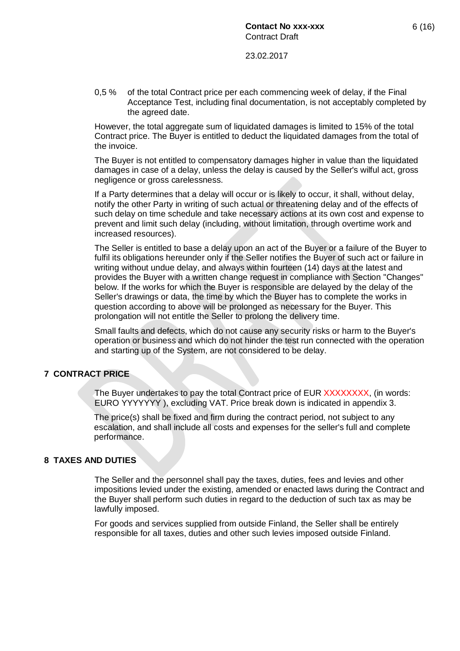0,5 % of the total Contract price per each commencing week of delay, if the Final Acceptance Test, including final documentation, is not acceptably completed by the agreed date.

However, the total aggregate sum of liquidated damages is limited to 15% of the total Contract price. The Buyer is entitled to deduct the liquidated damages from the total of the invoice.

The Buyer is not entitled to compensatory damages higher in value than the liquidated damages in case of a delay, unless the delay is caused by the Seller's wilful act, gross negligence or gross carelessness.

If a Party determines that a delay will occur or is likely to occur, it shall, without delay, notify the other Party in writing of such actual or threatening delay and of the effects of such delay on time schedule and take necessary actions at its own cost and expense to prevent and limit such delay (including, without limitation, through overtime work and increased resources).

The Seller is entitled to base a delay upon an act of the Buyer or a failure of the Buyer to fulfil its obligations hereunder only if the Seller notifies the Buyer of such act or failure in writing without undue delay, and always within fourteen (14) days at the latest and provides the Buyer with a written change request in compliance with Section "Changes" below. If the works for which the Buyer is responsible are delayed by the delay of the Seller's drawings or data, the time by which the Buyer has to complete the works in question according to above will be prolonged as necessary for the Buyer. This prolongation will not entitle the Seller to prolong the delivery time.

Small faults and defects, which do not cause any security risks or harm to the Buyer's operation or business and which do not hinder the test run connected with the operation and starting up of the System, are not considered to be delay.

#### **7 CONTRACT PRICE**

The Buyer undertakes to pay the total Contract price of EUR XXXXXXXX, (in words: EURO YYYYYYY ), excluding VAT. Price break down is indicated in appendix 3.

The price(s) shall be fixed and firm during the contract period, not subject to any escalation, and shall include all costs and expenses for the seller's full and complete performance.

#### **8 TAXES AND DUTIES**

The Seller and the personnel shall pay the taxes, duties, fees and levies and other impositions levied under the existing, amended or enacted laws during the Contract and the Buyer shall perform such duties in regard to the deduction of such tax as may be lawfully imposed.

For goods and services supplied from outside Finland, the Seller shall be entirely responsible for all taxes, duties and other such levies imposed outside Finland.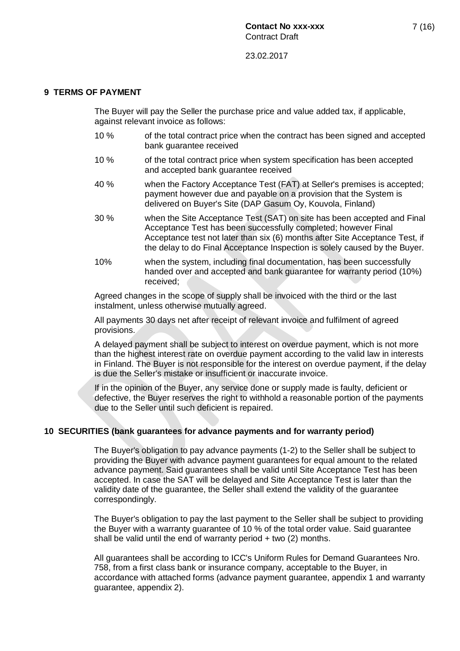#### **9 TERMS OF PAYMENT**

The Buyer will pay the Seller the purchase price and value added tax, if applicable, against relevant invoice as follows:

- 10 % of the total contract price when the contract has been signed and accepted bank guarantee received
- 10 % of the total contract price when system specification has been accepted and accepted bank guarantee received
- 40 % when the Factory Acceptance Test (FAT) at Seller's premises is accepted; payment however due and payable on a provision that the System is delivered on Buyer's Site (DAP Gasum Oy, Kouvola, Finland)
- 30 % when the Site Acceptance Test (SAT) on site has been accepted and Final Acceptance Test has been successfully completed; however Final Acceptance test not later than six (6) months after Site Acceptance Test, if the delay to do Final Acceptance Inspection is solely caused by the Buyer.
- 10% when the system, including final documentation, has been successfully handed over and accepted and bank guarantee for warranty period (10%) received;

Agreed changes in the scope of supply shall be invoiced with the third or the last instalment, unless otherwise mutually agreed.

All payments 30 days net after receipt of relevant invoice and fulfilment of agreed provisions.

A delayed payment shall be subject to interest on overdue payment, which is not more than the highest interest rate on overdue payment according to the valid law in interests in Finland. The Buyer is not responsible for the interest on overdue payment, if the delay is due the Seller's mistake or insufficient or inaccurate invoice.

If in the opinion of the Buyer, any service done or supply made is faulty, deficient or defective, the Buyer reserves the right to withhold a reasonable portion of the payments due to the Seller until such deficient is repaired.

#### **10 SECURITIES (bank guarantees for advance payments and for warranty period)**

The Buyer's obligation to pay advance payments (1-2) to the Seller shall be subject to providing the Buyer with advance payment guarantees for equal amount to the related advance payment. Said guarantees shall be valid until Site Acceptance Test has been accepted. In case the SAT will be delayed and Site Acceptance Test is later than the validity date of the guarantee, the Seller shall extend the validity of the guarantee correspondingly.

The Buyer's obligation to pay the last payment to the Seller shall be subject to providing the Buyer with a warranty guarantee of 10 % of the total order value. Said guarantee shall be valid until the end of warranty period + two (2) months.

All guarantees shall be according to ICC's Uniform Rules for Demand Guarantees Nro. 758, from a first class bank or insurance company, acceptable to the Buyer, in accordance with attached forms (advance payment guarantee, appendix 1 and warranty guarantee, appendix 2).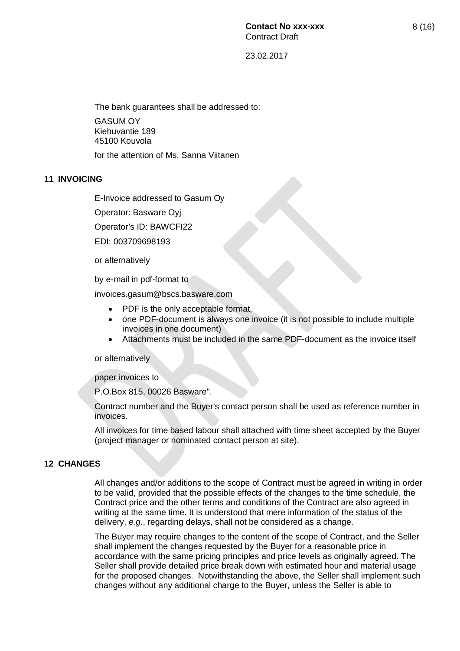The bank guarantees shall be addressed to: GASUM OY Kiehuvantie 189 45100 Kouvola for the attention of Ms. Sanna Viitanen

#### **11 INVOICING**

E-Invoice addressed to Gasum Oy

Operator: Basware Oyj

Operator's ID: BAWCFI22

EDI: 003709698193

or alternatively

by e-mail in pdf-format to

invoices.gasum@bscs.basware.com

- PDF is the only acceptable format,
- one PDF-document is always one invoice (it is not possible to include multiple invoices in one document)
- x Attachments must be included in the same PDF-document as the invoice itself

or alternatively

paper invoices to

P.O.Box 815, 00026 Basware".

Contract number and the Buyer's contact person shall be used as reference number in invoices.

All invoices for time based labour shall attached with time sheet accepted by the Buyer (project manager or nominated contact person at site).

#### **12 CHANGES**

All changes and/or additions to the scope of Contract must be agreed in writing in order to be valid, provided that the possible effects of the changes to the time schedule, the Contract price and the other terms and conditions of the Contract are also agreed in writing at the same time. It is understood that mere information of the status of the delivery, *e.g.*, regarding delays, shall not be considered as a change.

The Buyer may require changes to the content of the scope of Contract, and the Seller shall implement the changes requested by the Buyer for a reasonable price in accordance with the same pricing principles and price levels as originally agreed. The Seller shall provide detailed price break down with estimated hour and material usage for the proposed changes. Notwithstanding the above, the Seller shall implement such changes without any additional charge to the Buyer, unless the Seller is able to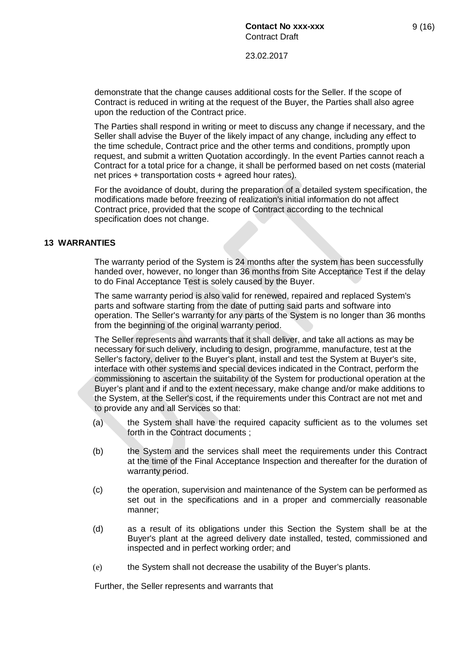demonstrate that the change causes additional costs for the Seller. If the scope of Contract is reduced in writing at the request of the Buyer, the Parties shall also agree upon the reduction of the Contract price.

The Parties shall respond in writing or meet to discuss any change if necessary, and the Seller shall advise the Buyer of the likely impact of any change, including any effect to the time schedule, Contract price and the other terms and conditions, promptly upon request, and submit a written Quotation accordingly. In the event Parties cannot reach a Contract for a total price for a change, it shall be performed based on net costs (material net prices + transportation costs + agreed hour rates).

For the avoidance of doubt, during the preparation of a detailed system specification, the modifications made before freezing of realization's initial information do not affect Contract price, provided that the scope of Contract according to the technical specification does not change.

#### **13 WARRANTIES**

The warranty period of the System is 24 months after the system has been successfully handed over, however, no longer than 36 months from Site Acceptance Test if the delay to do Final Acceptance Test is solely caused by the Buyer.

The same warranty period is also valid for renewed, repaired and replaced System's parts and software starting from the date of putting said parts and software into operation. The Seller's warranty for any parts of the System is no longer than 36 months from the beginning of the original warranty period.

The Seller represents and warrants that it shall deliver, and take all actions as may be necessary for such delivery, including to design, programme, manufacture, test at the Seller's factory, deliver to the Buyer's plant, install and test the System at Buyer's site, interface with other systems and special devices indicated in the Contract, perform the commissioning to ascertain the suitability of the System for productional operation at the Buyer's plant and if and to the extent necessary, make change and/or make additions to the System, at the Seller's cost, if the requirements under this Contract are not met and to provide any and all Services so that:

- (a) the System shall have the required capacity sufficient as to the volumes set forth in the Contract documents ;
- (b) the System and the services shall meet the requirements under this Contract at the time of the Final Acceptance Inspection and thereafter for the duration of warranty period.
- (c) the operation, supervision and maintenance of the System can be performed as set out in the specifications and in a proper and commercially reasonable manner;
- (d) as a result of its obligations under this Section the System shall be at the Buyer's plant at the agreed delivery date installed, tested, commissioned and inspected and in perfect working order; and
- (e) the System shall not decrease the usability of the Buyer's plants.

Further, the Seller represents and warrants that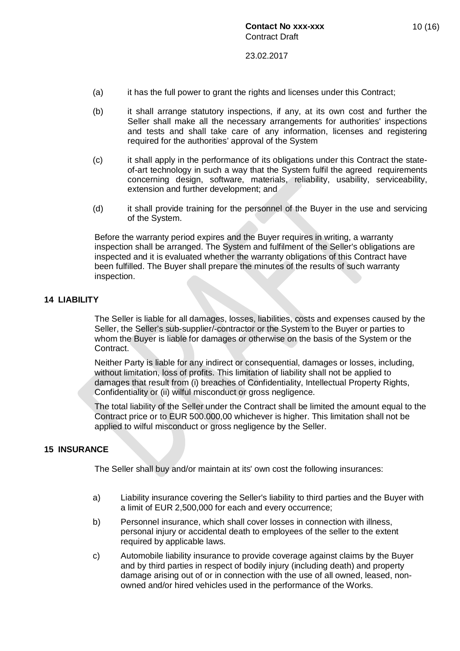- (a) it has the full power to grant the rights and licenses under this Contract;
- (b) it shall arrange statutory inspections, if any, at its own cost and further the Seller shall make all the necessary arrangements for authorities' inspections and tests and shall take care of any information, licenses and registering required for the authorities' approval of the System
- (c) it shall apply in the performance of its obligations under this Contract the stateof-art technology in such a way that the System fulfil the agreed requirements concerning design, software, materials, reliability, usability, serviceability, extension and further development; and
- (d) it shall provide training for the personnel of the Buyer in the use and servicing of the System.

Before the warranty period expires and the Buyer requires in writing, a warranty inspection shall be arranged. The System and fulfilment of the Seller's obligations are inspected and it is evaluated whether the warranty obligations of this Contract have been fulfilled. The Buyer shall prepare the minutes of the results of such warranty inspection.

#### **14 LIABILITY**

The Seller is liable for all damages, losses, liabilities, costs and expenses caused by the Seller, the Seller's sub-supplier/-contractor or the System to the Buyer or parties to whom the Buyer is liable for damages or otherwise on the basis of the System or the Contract.

Neither Party is liable for any indirect or consequential, damages or losses, including, without limitation, loss of profits. This limitation of liability shall not be applied to damages that result from (i) breaches of Confidentiality, Intellectual Property Rights, Confidentiality or (ii) wilful misconduct or gross negligence.

The total liability of the Seller under the Contract shall be limited the amount equal to the Contract price or to EUR 500.000,00 whichever is higher. This limitation shall not be applied to wilful misconduct or gross negligence by the Seller.

#### **15 INSURANCE**

The Seller shall buy and/or maintain at its' own cost the following insurances:

- a) Liability insurance covering the Seller's liability to third parties and the Buyer with a limit of EUR 2,500,000 for each and every occurrence;
- b) Personnel insurance, which shall cover losses in connection with illness, personal injury or accidental death to employees of the seller to the extent required by applicable laws.
- c) Automobile liability insurance to provide coverage against claims by the Buyer and by third parties in respect of bodily injury (including death) and property damage arising out of or in connection with the use of all owned, leased, nonowned and/or hired vehicles used in the performance of the Works.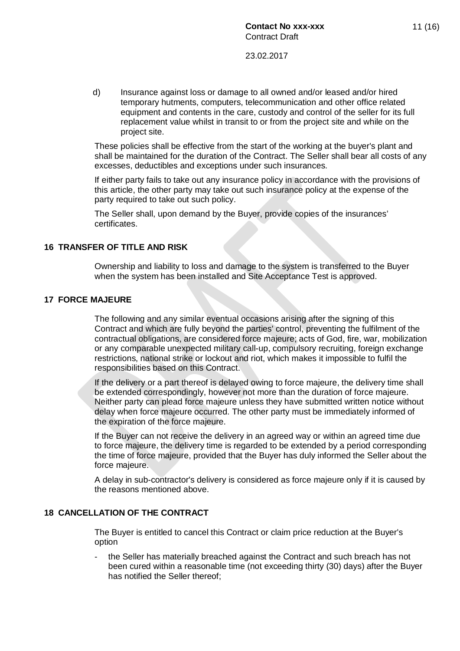d) Insurance against loss or damage to all owned and/or leased and/or hired temporary hutments, computers, telecommunication and other office related equipment and contents in the care, custody and control of the seller for its full replacement value whilst in transit to or from the project site and while on the project site.

These policies shall be effective from the start of the working at the buyer's plant and shall be maintained for the duration of the Contract. The Seller shall bear all costs of any excesses, deductibles and exceptions under such insurances.

If either party fails to take out any insurance policy in accordance with the provisions of this article, the other party may take out such insurance policy at the expense of the party required to take out such policy.

The Seller shall, upon demand by the Buyer, provide copies of the insurances' certificates.

#### **16 TRANSFER OF TITLE AND RISK**

Ownership and liability to loss and damage to the system is transferred to the Buyer when the system has been installed and Site Acceptance Test is approved.

#### **17 FORCE MAJEURE**

The following and any similar eventual occasions arising after the signing of this Contract and which are fully beyond the parties' control, preventing the fulfilment of the contractual obligations, are considered force majeure; acts of God, fire, war, mobilization or any comparable unexpected military call-up, compulsory recruiting, foreign exchange restrictions, national strike or lockout and riot, which makes it impossible to fulfil the responsibilities based on this Contract.

If the delivery or a part thereof is delayed owing to force majeure, the delivery time shall be extended correspondingly, however not more than the duration of force majeure. Neither party can plead force majeure unless they have submitted written notice without delay when force majeure occurred. The other party must be immediately informed of the expiration of the force majeure.

If the Buyer can not receive the delivery in an agreed way or within an agreed time due to force majeure, the delivery time is regarded to be extended by a period corresponding the time of force majeure, provided that the Buyer has duly informed the Seller about the force majeure.

A delay in sub-contractor's delivery is considered as force majeure only if it is caused by the reasons mentioned above.

#### **18 CANCELLATION OF THE CONTRACT**

The Buyer is entitled to cancel this Contract or claim price reduction at the Buyer's option

the Seller has materially breached against the Contract and such breach has not been cured within a reasonable time (not exceeding thirty (30) days) after the Buyer has notified the Seller thereof;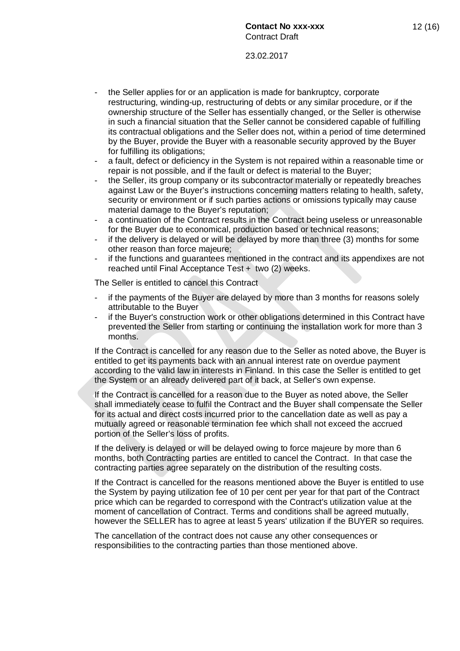- the Seller applies for or an application is made for bankruptcy, corporate restructuring, winding-up, restructuring of debts or any similar procedure, or if the ownership structure of the Seller has essentially changed, or the Seller is otherwise in such a financial situation that the Seller cannot be considered capable of fulfilling its contractual obligations and the Seller does not, within a period of time determined by the Buyer, provide the Buyer with a reasonable security approved by the Buyer for fulfilling its obligations;
- a fault, defect or deficiency in the System is not repaired within a reasonable time or repair is not possible, and if the fault or defect is material to the Buyer;
- the Seller, its group company or its subcontractor materially or repeatedly breaches against Law or the Buyer's instructions concerning matters relating to health, safety, security or environment or if such parties actions or omissions typically may cause material damage to the Buyer's reputation;
- a continuation of the Contract results in the Contract being useless or unreasonable for the Buyer due to economical, production based or technical reasons;
- if the delivery is delayed or will be delayed by more than three (3) months for some other reason than force majeure;
- if the functions and guarantees mentioned in the contract and its appendixes are not reached until Final Acceptance Test + two (2) weeks.

The Seller is entitled to cancel this Contract

- if the payments of the Buyer are delayed by more than 3 months for reasons solely attributable to the Buyer
- if the Buyer's construction work or other obligations determined in this Contract have prevented the Seller from starting or continuing the installation work for more than 3 months.

If the Contract is cancelled for any reason due to the Seller as noted above, the Buyer is entitled to get its payments back with an annual interest rate on overdue payment according to the valid law in interests in Finland. In this case the Seller is entitled to get the System or an already delivered part of it back, at Seller's own expense.

If the Contract is cancelled for a reason due to the Buyer as noted above, the Seller shall immediately cease to fulfil the Contract and the Buyer shall compensate the Seller for its actual and direct costs incurred prior to the cancellation date as well as pay a mutually agreed or reasonable termination fee which shall not exceed the accrued portion of the Seller's loss of profits.

If the delivery is delayed or will be delayed owing to force majeure by more than 6 months, both Contracting parties are entitled to cancel the Contract. In that case the contracting parties agree separately on the distribution of the resulting costs.

If the Contract is cancelled for the reasons mentioned above the Buyer is entitled to use the System by paying utilization fee of 10 per cent per year for that part of the Contract price which can be regarded to correspond with the Contract's utilization value at the moment of cancellation of Contract. Terms and conditions shall be agreed mutually, however the SELLER has to agree at least 5 years' utilization if the BUYER so requires.

The cancellation of the contract does not cause any other consequences or responsibilities to the contracting parties than those mentioned above.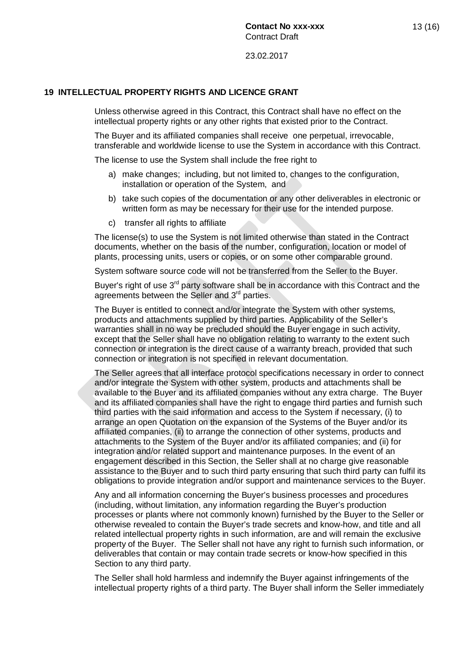#### **19 INTELLECTUAL PROPERTY RIGHTS AND LICENCE GRANT**

Unless otherwise agreed in this Contract, this Contract shall have no effect on the intellectual property rights or any other rights that existed prior to the Contract.

The Buyer and its affiliated companies shall receive one perpetual, irrevocable, transferable and worldwide license to use the System in accordance with this Contract.

The license to use the System shall include the free right to

- a) make changes; including, but not limited to, changes to the configuration, installation or operation of the System, and
- b) take such copies of the documentation or any other deliverables in electronic or written form as may be necessary for their use for the intended purpose.
- c) transfer all rights to affiliate

The license(s) to use the System is not limited otherwise than stated in the Contract documents, whether on the basis of the number, configuration, location or model of plants, processing units, users or copies, or on some other comparable ground.

System software source code will not be transferred from the Seller to the Buyer.

Buyer's right of use 3<sup>rd</sup> party software shall be in accordance with this Contract and the agreements between the Seller and 3<sup>rd</sup> parties.

The Buyer is entitled to connect and/or integrate the System with other systems, products and attachments supplied by third parties. Applicability of the Seller's warranties shall in no way be precluded should the Buyer engage in such activity, except that the Seller shall have no obligation relating to warranty to the extent such connection or integration is the direct cause of a warranty breach, provided that such connection or integration is not specified in relevant documentation.

The Seller agrees that all interface protocol specifications necessary in order to connect and/or integrate the System with other system, products and attachments shall be available to the Buyer and its affiliated companies without any extra charge. The Buyer and its affiliated companies shall have the right to engage third parties and furnish such third parties with the said information and access to the System if necessary, (i) to arrange an open Quotation on the expansion of the Systems of the Buyer and/or its affiliated companies, (ii) to arrange the connection of other systems, products and attachments to the System of the Buyer and/or its affiliated companies; and (ii) for integration and/or related support and maintenance purposes. In the event of an engagement described in this Section, the Seller shall at no charge give reasonable assistance to the Buyer and to such third party ensuring that such third party can fulfil its obligations to provide integration and/or support and maintenance services to the Buyer.

Any and all information concerning the Buyer's business processes and procedures (including, without limitation, any information regarding the Buyer's production processes or plants where not commonly known) furnished by the Buyer to the Seller or otherwise revealed to contain the Buyer's trade secrets and know-how, and title and all related intellectual property rights in such information, are and will remain the exclusive property of the Buyer. The Seller shall not have any right to furnish such information, or deliverables that contain or may contain trade secrets or know-how specified in this Section to any third party.

The Seller shall hold harmless and indemnify the Buyer against infringements of the intellectual property rights of a third party. The Buyer shall inform the Seller immediately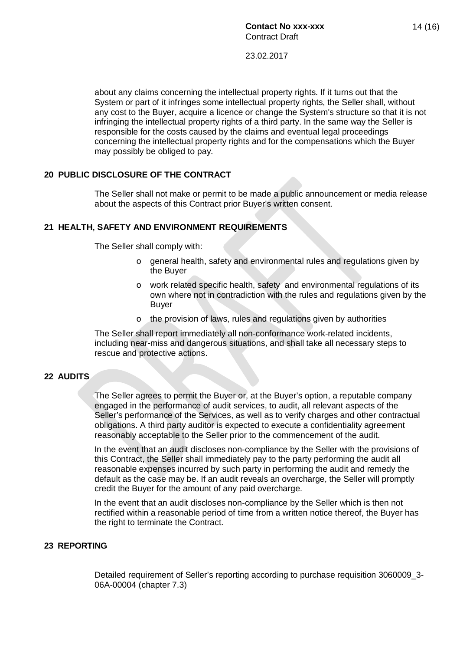about any claims concerning the intellectual property rights. If it turns out that the System or part of it infringes some intellectual property rights, the Seller shall, without any cost to the Buyer, acquire a licence or change the System's structure so that it is not infringing the intellectual property rights of a third party. In the same way the Seller is responsible for the costs caused by the claims and eventual legal proceedings concerning the intellectual property rights and for the compensations which the Buyer may possibly be obliged to pay.

## **20 PUBLIC DISCLOSURE OF THE CONTRACT**

The Seller shall not make or permit to be made a public announcement or media release about the aspects of this Contract prior Buyer's written consent.

# **21 HEALTH, SAFETY AND ENVIRONMENT REQUIREMENTS**

The Seller shall comply with:

- $\circ$  general health, safety and environmental rules and regulations given by the Buyer
- o work related specific health, safety and environmental regulations of its own where not in contradiction with the rules and regulations given by the Buyer
- o the provision of laws, rules and regulations given by authorities

The Seller shall report immediately all non-conformance work-related incidents, including near-miss and dangerous situations, and shall take all necessary steps to rescue and protective actions.

## **22 AUDITS**

The Seller agrees to permit the Buyer or, at the Buyer's option, a reputable company engaged in the performance of audit services, to audit, all relevant aspects of the Seller's performance of the Services, as well as to verify charges and other contractual obligations. A third party auditor is expected to execute a confidentiality agreement reasonably acceptable to the Seller prior to the commencement of the audit.

In the event that an audit discloses non-compliance by the Seller with the provisions of this Contract, the Seller shall immediately pay to the party performing the audit all reasonable expenses incurred by such party in performing the audit and remedy the default as the case may be. If an audit reveals an overcharge, the Seller will promptly credit the Buyer for the amount of any paid overcharge.

In the event that an audit discloses non-compliance by the Seller which is then not rectified within a reasonable period of time from a written notice thereof, the Buyer has the right to terminate the Contract.

## **23 REPORTING**

Detailed requirement of Seller's reporting according to purchase requisition 3060009\_3- 06A-00004 (chapter 7.3)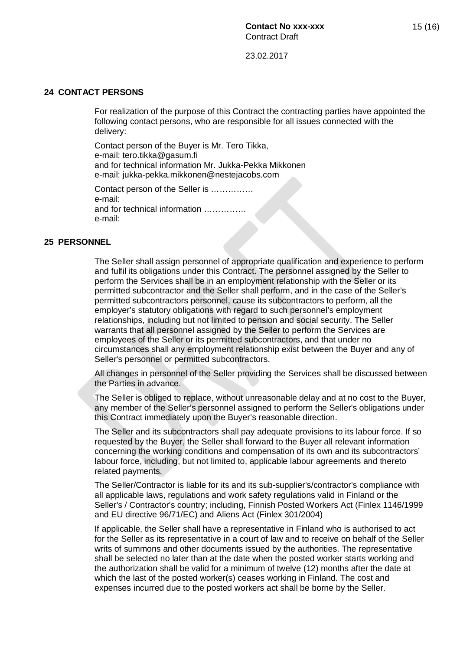#### **24 CONTACT PERSONS**

For realization of the purpose of this Contract the contracting parties have appointed the following contact persons, who are responsible for all issues connected with the delivery:

Contact person of the Buyer is Mr. Tero Tikka, e-mail: tero.tikka@gasum.fi and for technical information Mr. Jukka-Pekka Mikkonen e-mail: jukka-pekka.mikkonen@nestejacobs.com

Contact person of the Seller is …………… e-mail: and for technical information …………… e-mail:

#### **25 PERSONNEL**

The Seller shall assign personnel of appropriate qualification and experience to perform and fulfil its obligations under this Contract. The personnel assigned by the Seller to perform the Services shall be in an employment relationship with the Seller or its permitted subcontractor and the Seller shall perform, and in the case of the Seller's permitted subcontractors personnel, cause its subcontractors to perform, all the employer's statutory obligations with regard to such personnel's employment relationships, including but not limited to pension and social security. The Seller warrants that all personnel assigned by the Seller to perform the Services are employees of the Seller or its permitted subcontractors, and that under no circumstances shall any employment relationship exist between the Buyer and any of Seller's personnel or permitted subcontractors.

All changes in personnel of the Seller providing the Services shall be discussed between the Parties in advance.

The Seller is obliged to replace, without unreasonable delay and at no cost to the Buyer, any member of the Seller's personnel assigned to perform the Seller's obligations under this Contract immediately upon the Buyer's reasonable direction.

The Seller and its subcontractors shall pay adequate provisions to its labour force. If so requested by the Buyer, the Seller shall forward to the Buyer all relevant information concerning the working conditions and compensation of its own and its subcontractors' labour force, including, but not limited to, applicable labour agreements and thereto related payments.

The Seller/Contractor is liable for its and its sub-supplier's/contractor's compliance with all applicable laws, regulations and work safety regulations valid in Finland or the Seller's / Contractor's country; including, Finnish Posted Workers Act (Finlex 1146/1999 and EU directive 96/71/EC) and Aliens Act (Finlex 301/2004)

If applicable, the Seller shall have a representative in Finland who is authorised to act for the Seller as its representative in a court of law and to receive on behalf of the Seller writs of summons and other documents issued by the authorities. The representative shall be selected no later than at the date when the posted worker starts working and the authorization shall be valid for a minimum of twelve (12) months after the date at which the last of the posted worker(s) ceases working in Finland. The cost and expenses incurred due to the posted workers act shall be borne by the Seller.